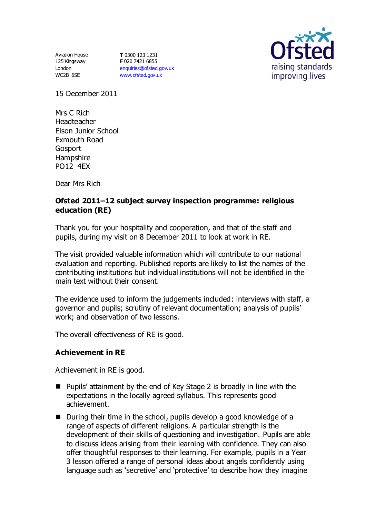Aviation House 125 Kingsway London WC2B 6SE

**T** 0300 123 1231 **F** 020 7421 6855 [enquiries@ofsted.gov.uk](mailto:enquiries@ofsted.gov.uk) [www.ofsted.gov.uk](http://www.ofsted.gov.uk/)



15 December 2011

Mrs C Rich Headteacher Elson Junior School Exmouth Road **Gosport** Hampshire PO12 4EX

Dear Mrs Rich

# **Ofsted 2011–12 subject survey inspection programme: religious education (RE)**

Thank you for your hospitality and cooperation, and that of the staff and pupils, during my visit on 8 December 2011 to look at work in RE.

The visit provided valuable information which will contribute to our national evaluation and reporting. Published reports are likely to list the names of the contributing institutions but individual institutions will not be identified in the main text without their consent.

The evidence used to inform the judgements included: interviews with staff, a governor and pupils; scrutiny of relevant documentation; analysis of pupils' work; and observation of two lessons.

The overall effectiveness of RE is good.

### **Achievement in RE**

Achievement in RE is good.

- Pupils' attainment by the end of Key Stage 2 is broadly in line with the expectations in the locally agreed syllabus. This represents good achievement.
- During their time in the school, pupils develop a good knowledge of a range of aspects of different religions. A particular strength is the development of their skills of questioning and investigation. Pupils are able to discuss ideas arising from their learning with confidence. They can also offer thoughtful responses to their learning. For example, pupils in a Year 3 lesson offered a range of personal ideas about angels confidently using language such as 'secretive' and 'protective' to describe how they imagine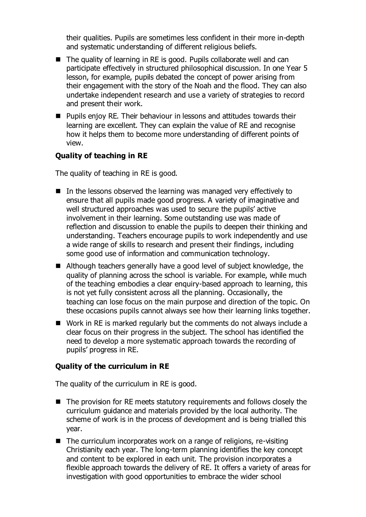their qualities. Pupils are sometimes less confident in their more in-depth and systematic understanding of different religious beliefs.

- The quality of learning in RE is good. Pupils collaborate well and can participate effectively in structured philosophical discussion. In one Year 5 lesson, for example, pupils debated the concept of power arising from their engagement with the story of the Noah and the flood. They can also undertake independent research and use a variety of strategies to record and present their work.
- **Pupils enjoy RE. Their behaviour in lessons and attitudes towards their** learning are excellent. They can explain the value of RE and recognise how it helps them to become more understanding of different points of view.

### **Quality of teaching in RE**

The quality of teaching in RE is good.

- $\blacksquare$  In the lessons observed the learning was managed very effectively to ensure that all pupils made good progress. A variety of imaginative and well structured approaches was used to secure the pupils' active involvement in their learning. Some outstanding use was made of reflection and discussion to enable the pupils to deepen their thinking and understanding. Teachers encourage pupils to work independently and use a wide range of skills to research and present their findings, including some good use of information and communication technology.
- Although teachers generally have a good level of subject knowledge, the quality of planning across the school is variable. For example, while much of the teaching embodies a clear enquiry-based approach to learning, this is not yet fully consistent across all the planning. Occasionally, the teaching can lose focus on the main purpose and direction of the topic. On these occasions pupils cannot always see how their learning links together.
- Work in RE is marked regularly but the comments do not always include a clear focus on their progress in the subject. The school has identified the need to develop a more systematic approach towards the recording of pupils' progress in RE.

### **Quality of the curriculum in RE**

The quality of the curriculum in RE is good.

- $\blacksquare$  The provision for RE meets statutory requirements and follows closely the curriculum guidance and materials provided by the local authority. The scheme of work is in the process of development and is being trialled this year.
- $\blacksquare$  The curriculum incorporates work on a range of religions, re-visiting Christianity each year. The long-term planning identifies the key concept and content to be explored in each unit. The provision incorporates a flexible approach towards the delivery of RE. It offers a variety of areas for investigation with good opportunities to embrace the wider school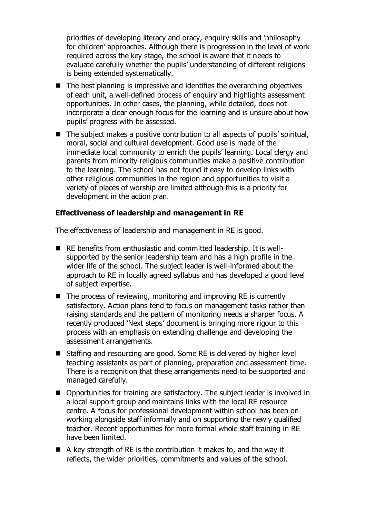priorities of developing literacy and oracy, enquiry skills and 'philosophy for children' approaches. Although there is progression in the level of work required across the key stage, the school is aware that it needs to evaluate carefully whether the pupils' understanding of different religions is being extended systematically.

- $\blacksquare$  The best planning is impressive and identifies the overarching objectives of each unit, a well-defined process of enquiry and highlights assessment opportunities. In other cases, the planning, while detailed, does not incorporate a clear enough focus for the learning and is unsure about how pupils' progress with be assessed.
- The subject makes a positive contribution to all aspects of pupils' spiritual, moral, social and cultural development. Good use is made of the immediate local community to enrich the pupils' learning. Local clergy and parents from minority religious communities make a positive contribution to the learning. The school has not found it easy to develop links with other religious communities in the region and opportunities to visit a variety of places of worship are limited although this is a priority for development in the action plan.

#### **Effectiveness of leadership and management in RE**

The effectiveness of leadership and management in RE is good.

- RE benefits from enthusiastic and committed leadership. It is wellsupported by the senior leadership team and has a high profile in the wider life of the school. The subject leader is well-informed about the approach to RE in locally agreed syllabus and has developed a good level of subject expertise.
- The process of reviewing, monitoring and improving RE is currently satisfactory. Action plans tend to focus on management tasks rather than raising standards and the pattern of monitoring needs a sharper focus. A recently produced 'Next steps' document is bringing more rigour to this process with an emphasis on extending challenge and developing the assessment arrangements.
- Staffing and resourcing are good. Some RE is delivered by higher level teaching assistants as part of planning, preparation and assessment time. There is a recognition that these arrangements need to be supported and managed carefully.
- Opportunities for training are satisfactory. The subject leader is involved in a local support group and maintains links with the local RE resource centre. A focus for professional development within school has been on working alongside staff informally and on supporting the newly qualified teacher. Recent opportunities for more formal whole staff training in RE have been limited.
- $\blacksquare$  A key strength of RE is the contribution it makes to, and the way it reflects, the wider priorities, commitments and values of the school.